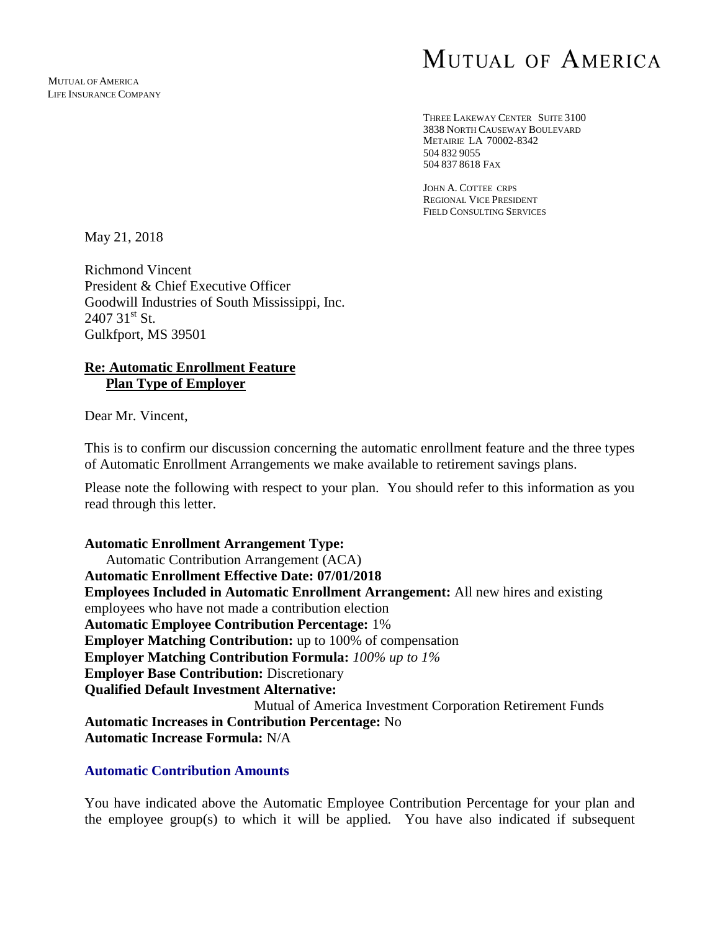# MUTUAL OF AMERICA

THREE LAKEWAY CENTER SUITE 3100 3838 NORTH CAUSEWAY BOULEVARD METAIRIE LA 70002-8342 504 832 9055 504 837 8618 FAX

JOHN A. COTTEE CRPS REGIONAL VICE PRESIDENT FIELD CONSULTING SERVICES

May 21, 2018

Richmond Vincent President & Chief Executive Officer Goodwill Industries of South Mississippi, Inc.  $2407$   $31<sup>st</sup>$  St. Gulkfport, MS 39501

### **Re: Automatic Enrollment Feature Plan Type of Employer**

Dear Mr. Vincent,

This is to confirm our discussion concerning the automatic enrollment feature and the three types of Automatic Enrollment Arrangements we make available to retirement savings plans.

Please note the following with respect to your plan. You should refer to this information as you read through this letter.

**Automatic Enrollment Arrangement Type:**  Automatic Contribution Arrangement (ACA) **Automatic Enrollment Effective Date: 07/01/2018 Employees Included in Automatic Enrollment Arrangement:** All new hires and existing employees who have not made a contribution election **Automatic Employee Contribution Percentage:** 1% **Employer Matching Contribution:** up to 100% of compensation **Employer Matching Contribution Formula:** *100% up to 1%* **Employer Base Contribution:** Discretionary **Qualified Default Investment Alternative:**  Mutual of America Investment Corporation Retirement Funds **Automatic Increases in Contribution Percentage:** No **Automatic Increase Formula:** N/A

## **Automatic Contribution Amounts**

You have indicated above the Automatic Employee Contribution Percentage for your plan and the employee group(s) to which it will be applied*.* You have also indicated if subsequent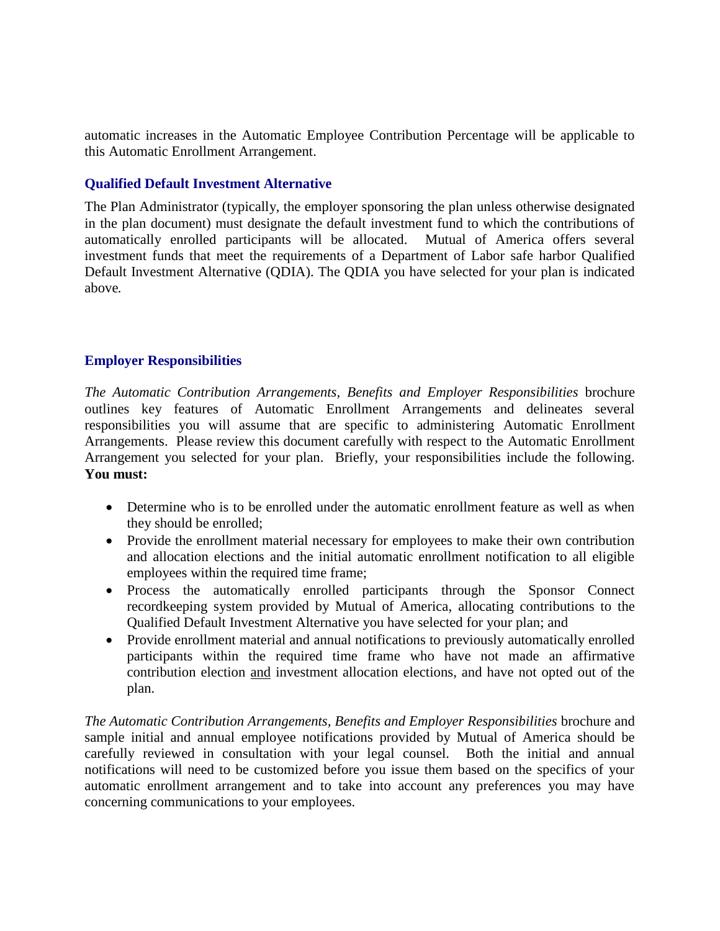automatic increases in the Automatic Employee Contribution Percentage will be applicable to this Automatic Enrollment Arrangement.

## **Qualified Default Investment Alternative**

The Plan Administrator (typically, the employer sponsoring the plan unless otherwise designated in the plan document) must designate the default investment fund to which the contributions of automatically enrolled participants will be allocated. Mutual of America offers several investment funds that meet the requirements of a Department of Labor safe harbor Qualified Default Investment Alternative (QDIA). The QDIA you have selected for your plan is indicated above*.*

### **Employer Responsibilities**

*The Automatic Contribution Arrangements, Benefits and Employer Responsibilities* brochure outlines key features of Automatic Enrollment Arrangements and delineates several responsibilities you will assume that are specific to administering Automatic Enrollment Arrangements. Please review this document carefully with respect to the Automatic Enrollment Arrangement you selected for your plan. Briefly, your responsibilities include the following. **You must:**

- Determine who is to be enrolled under the automatic enrollment feature as well as when they should be enrolled;
- Provide the enrollment material necessary for employees to make their own contribution and allocation elections and the initial automatic enrollment notification to all eligible employees within the required time frame;
- Process the automatically enrolled participants through the Sponsor Connect recordkeeping system provided by Mutual of America, allocating contributions to the Qualified Default Investment Alternative you have selected for your plan; and
- Provide enrollment material and annual notifications to previously automatically enrolled participants within the required time frame who have not made an affirmative contribution election and investment allocation elections, and have not opted out of the plan.

*The Automatic Contribution Arrangements, Benefits and Employer Responsibilities* brochure and sample initial and annual employee notifications provided by Mutual of America should be carefully reviewed in consultation with your legal counsel. Both the initial and annual notifications will need to be customized before you issue them based on the specifics of your automatic enrollment arrangement and to take into account any preferences you may have concerning communications to your employees.